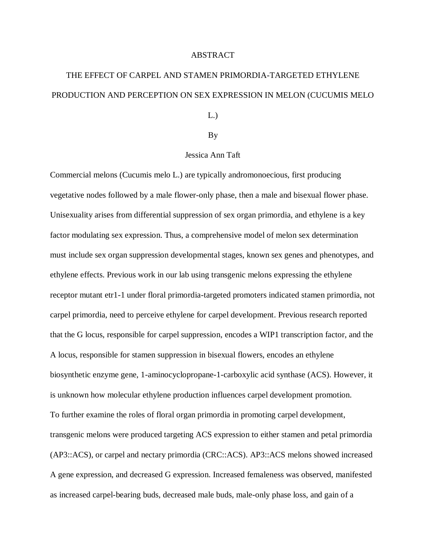## ABSTRACT

## THE EFFECT OF CARPEL AND STAMEN PRIMORDIA-TARGETED ETHYLENE PRODUCTION AND PERCEPTION ON SEX EXPRESSION IN MELON (CUCUMIS MELO

L.)

## By

## Jessica Ann Taft

Commercial melons (Cucumis melo L.) are typically andromonoecious, first producing vegetative nodes followed by a male flower-only phase, then a male and bisexual flower phase. Unisexuality arises from differential suppression of sex organ primordia, and ethylene is a key factor modulating sex expression. Thus, a comprehensive model of melon sex determination must include sex organ suppression developmental stages, known sex genes and phenotypes, and ethylene effects. Previous work in our lab using transgenic melons expressing the ethylene receptor mutant etr1-1 under floral primordia-targeted promoters indicated stamen primordia, not carpel primordia, need to perceive ethylene for carpel development. Previous research reported that the G locus, responsible for carpel suppression, encodes a WIP1 transcription factor, and the A locus, responsible for stamen suppression in bisexual flowers, encodes an ethylene biosynthetic enzyme gene, 1-aminocyclopropane-1-carboxylic acid synthase (ACS). However, it is unknown how molecular ethylene production influences carpel development promotion. To further examine the roles of floral organ primordia in promoting carpel development, transgenic melons were produced targeting ACS expression to either stamen and petal primordia (AP3::ACS), or carpel and nectary primordia (CRC::ACS). AP3::ACS melons showed increased A gene expression, and decreased G expression. Increased femaleness was observed, manifested as increased carpel-bearing buds, decreased male buds, male-only phase loss, and gain of a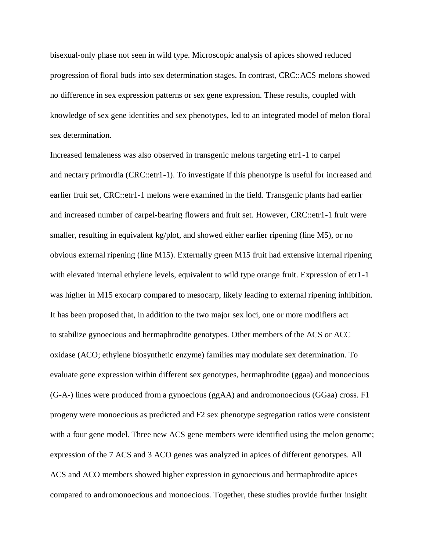bisexual-only phase not seen in wild type. Microscopic analysis of apices showed reduced progression of floral buds into sex determination stages. In contrast, CRC::ACS melons showed no difference in sex expression patterns or sex gene expression. These results, coupled with knowledge of sex gene identities and sex phenotypes, led to an integrated model of melon floral sex determination.

Increased femaleness was also observed in transgenic melons targeting etr1-1 to carpel and nectary primordia (CRC::etr1-1). To investigate if this phenotype is useful for increased and earlier fruit set, CRC::etr1-1 melons were examined in the field. Transgenic plants had earlier and increased number of carpel-bearing flowers and fruit set. However, CRC::etr1-1 fruit were smaller, resulting in equivalent kg/plot, and showed either earlier ripening (line M5), or no obvious external ripening (line M15). Externally green M15 fruit had extensive internal ripening with elevated internal ethylene levels, equivalent to wild type orange fruit. Expression of etr1-1 was higher in M15 exocarp compared to mesocarp, likely leading to external ripening inhibition. It has been proposed that, in addition to the two major sex loci, one or more modifiers act to stabilize gynoecious and hermaphrodite genotypes. Other members of the ACS or ACC oxidase (ACO; ethylene biosynthetic enzyme) families may modulate sex determination. To evaluate gene expression within different sex genotypes, hermaphrodite (ggaa) and monoecious (G-A-) lines were produced from a gynoecious (ggAA) and andromonoecious (GGaa) cross. F1 progeny were monoecious as predicted and F2 sex phenotype segregation ratios were consistent with a four gene model. Three new ACS gene members were identified using the melon genome; expression of the 7 ACS and 3 ACO genes was analyzed in apices of different genotypes. All ACS and ACO members showed higher expression in gynoecious and hermaphrodite apices compared to andromonoecious and monoecious. Together, these studies provide further insight